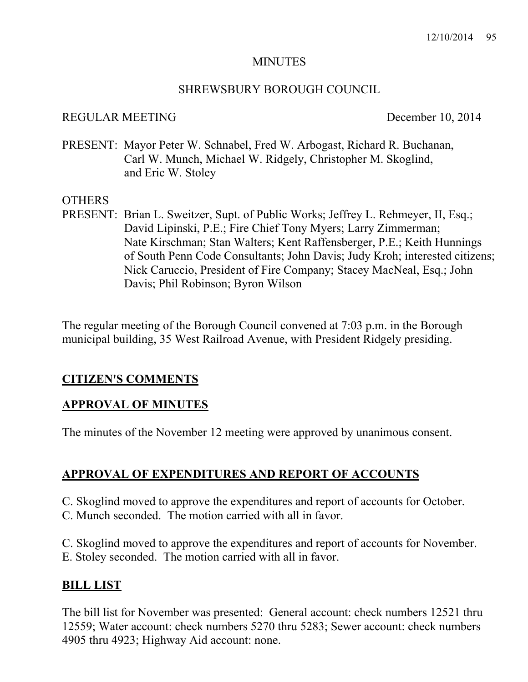### **MINUTES**

#### SHREWSBURY BOROUGH COUNCIL

### REGULAR MEETING December 10, 2014

PRESENT: Mayor Peter W. Schnabel, Fred W. Arbogast, Richard R. Buchanan, Carl W. Munch, Michael W. Ridgely, Christopher M. Skoglind, and Eric W. Stoley

### OTHERS

PRESENT: Brian L. Sweitzer, Supt. of Public Works; Jeffrey L. Rehmeyer, II, Esq.; David Lipinski, P.E.; Fire Chief Tony Myers; Larry Zimmerman; Nate Kirschman; Stan Walters; Kent Raffensberger, P.E.; Keith Hunnings of South Penn Code Consultants; John Davis; Judy Kroh; interested citizens; Nick Caruccio, President of Fire Company; Stacey MacNeal, Esq.; John Davis; Phil Robinson; Byron Wilson

The regular meeting of the Borough Council convened at 7:03 p.m. in the Borough municipal building, 35 West Railroad Avenue, with President Ridgely presiding.

### **CITIZEN'S COMMENTS**

### **APPROVAL OF MINUTES**

The minutes of the November 12 meeting were approved by unanimous consent.

## **APPROVAL OF EXPENDITURES AND REPORT OF ACCOUNTS**

- C. Skoglind moved to approve the expenditures and report of accounts for October.
- C. Munch seconded. The motion carried with all in favor.
- C. Skoglind moved to approve the expenditures and report of accounts for November.
- E. Stoley seconded. The motion carried with all in favor.

### **BILL LIST**

The bill list for November was presented: General account: check numbers 12521 thru 12559; Water account: check numbers 5270 thru 5283; Sewer account: check numbers 4905 thru 4923; Highway Aid account: none.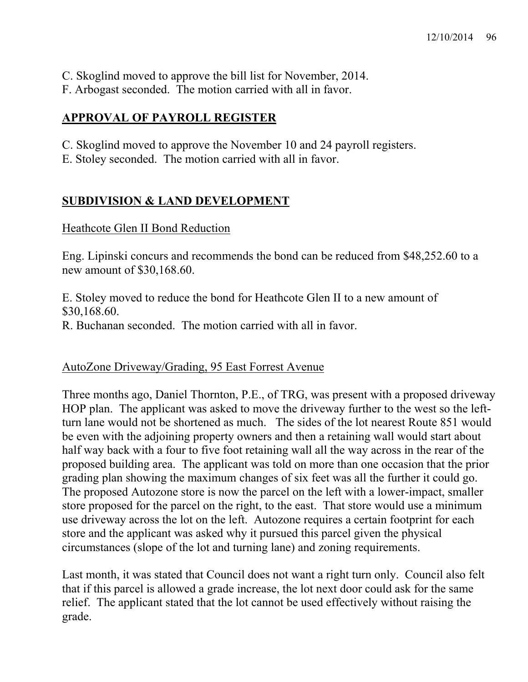- C. Skoglind moved to approve the bill list for November, 2014.
- F. Arbogast seconded. The motion carried with all in favor.

# **APPROVAL OF PAYROLL REGISTER**

- C. Skoglind moved to approve the November 10 and 24 payroll registers.
- E. Stoley seconded. The motion carried with all in favor.

# **SUBDIVISION & LAND DEVELOPMENT**

## Heathcote Glen II Bond Reduction

Eng. Lipinski concurs and recommends the bond can be reduced from \$48,252.60 to a new amount of \$30,168.60.

E. Stoley moved to reduce the bond for Heathcote Glen II to a new amount of \$30,168.60. R. Buchanan seconded. The motion carried with all in favor.

# AutoZone Driveway/Grading, 95 East Forrest Avenue

Three months ago, Daniel Thornton, P.E., of TRG, was present with a proposed driveway HOP plan. The applicant was asked to move the driveway further to the west so the leftturn lane would not be shortened as much. The sides of the lot nearest Route 851 would be even with the adjoining property owners and then a retaining wall would start about half way back with a four to five foot retaining wall all the way across in the rear of the proposed building area. The applicant was told on more than one occasion that the prior grading plan showing the maximum changes of six feet was all the further it could go. The proposed Autozone store is now the parcel on the left with a lower-impact, smaller store proposed for the parcel on the right, to the east. That store would use a minimum use driveway across the lot on the left. Autozone requires a certain footprint for each store and the applicant was asked why it pursued this parcel given the physical circumstances (slope of the lot and turning lane) and zoning requirements.

Last month, it was stated that Council does not want a right turn only. Council also felt that if this parcel is allowed a grade increase, the lot next door could ask for the same relief. The applicant stated that the lot cannot be used effectively without raising the grade.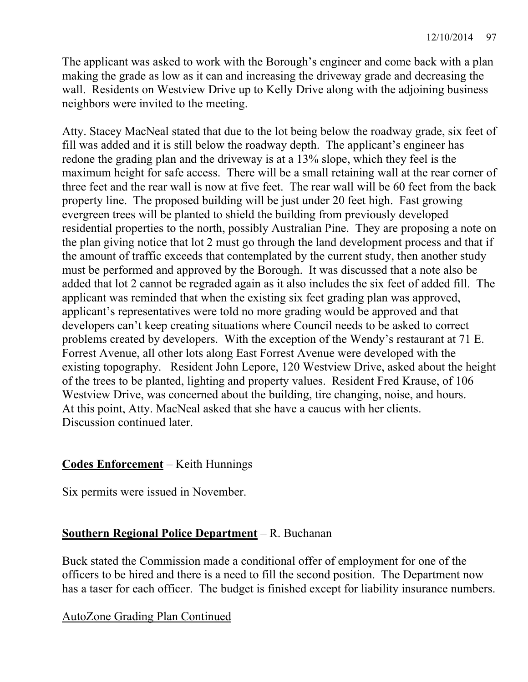The applicant was asked to work with the Borough's engineer and come back with a plan making the grade as low as it can and increasing the driveway grade and decreasing the wall. Residents on Westview Drive up to Kelly Drive along with the adjoining business neighbors were invited to the meeting.

Atty. Stacey MacNeal stated that due to the lot being below the roadway grade, six feet of fill was added and it is still below the roadway depth. The applicant's engineer has redone the grading plan and the driveway is at a 13% slope, which they feel is the maximum height for safe access. There will be a small retaining wall at the rear corner of three feet and the rear wall is now at five feet. The rear wall will be 60 feet from the back property line. The proposed building will be just under 20 feet high. Fast growing evergreen trees will be planted to shield the building from previously developed residential properties to the north, possibly Australian Pine. They are proposing a note on the plan giving notice that lot 2 must go through the land development process and that if the amount of traffic exceeds that contemplated by the current study, then another study must be performed and approved by the Borough. It was discussed that a note also be added that lot 2 cannot be regraded again as it also includes the six feet of added fill. The applicant was reminded that when the existing six feet grading plan was approved, applicant's representatives were told no more grading would be approved and that developers can't keep creating situations where Council needs to be asked to correct problems created by developers. With the exception of the Wendy's restaurant at 71 E. Forrest Avenue, all other lots along East Forrest Avenue were developed with the existing topography. Resident John Lepore, 120 Westview Drive, asked about the height of the trees to be planted, lighting and property values. Resident Fred Krause, of 106 Westview Drive, was concerned about the building, tire changing, noise, and hours. At this point, Atty. MacNeal asked that she have a caucus with her clients. Discussion continued later.

# **Codes Enforcement** – Keith Hunnings

Six permits were issued in November.

## **Southern Regional Police Department** – R. Buchanan

Buck stated the Commission made a conditional offer of employment for one of the officers to be hired and there is a need to fill the second position. The Department now has a taser for each officer. The budget is finished except for liability insurance numbers.

## AutoZone Grading Plan Continued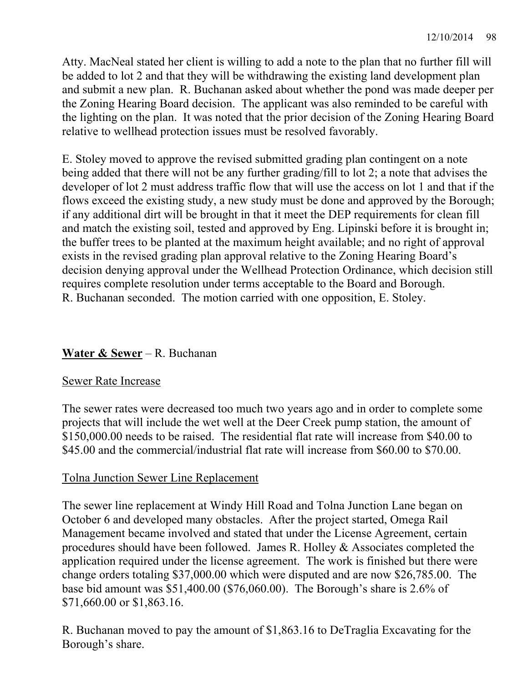Atty. MacNeal stated her client is willing to add a note to the plan that no further fill will be added to lot 2 and that they will be withdrawing the existing land development plan and submit a new plan. R. Buchanan asked about whether the pond was made deeper per the Zoning Hearing Board decision. The applicant was also reminded to be careful with the lighting on the plan. It was noted that the prior decision of the Zoning Hearing Board relative to wellhead protection issues must be resolved favorably.

E. Stoley moved to approve the revised submitted grading plan contingent on a note being added that there will not be any further grading/fill to lot 2; a note that advises the developer of lot 2 must address traffic flow that will use the access on lot 1 and that if the flows exceed the existing study, a new study must be done and approved by the Borough; if any additional dirt will be brought in that it meet the DEP requirements for clean fill and match the existing soil, tested and approved by Eng. Lipinski before it is brought in; the buffer trees to be planted at the maximum height available; and no right of approval exists in the revised grading plan approval relative to the Zoning Hearing Board's decision denying approval under the Wellhead Protection Ordinance, which decision still requires complete resolution under terms acceptable to the Board and Borough. R. Buchanan seconded. The motion carried with one opposition, E. Stoley.

# **Water & Sewer** – R. Buchanan

## Sewer Rate Increase

The sewer rates were decreased too much two years ago and in order to complete some projects that will include the wet well at the Deer Creek pump station, the amount of \$150,000.00 needs to be raised. The residential flat rate will increase from \$40.00 to \$45.00 and the commercial/industrial flat rate will increase from \$60.00 to \$70.00.

## Tolna Junction Sewer Line Replacement

The sewer line replacement at Windy Hill Road and Tolna Junction Lane began on October 6 and developed many obstacles. After the project started, Omega Rail Management became involved and stated that under the License Agreement, certain procedures should have been followed. James R. Holley & Associates completed the application required under the license agreement. The work is finished but there were change orders totaling \$37,000.00 which were disputed and are now \$26,785.00. The base bid amount was \$51,400.00 (\$76,060.00). The Borough's share is 2.6% of \$71,660.00 or \$1,863.16.

R. Buchanan moved to pay the amount of \$1,863.16 to DeTraglia Excavating for the Borough's share.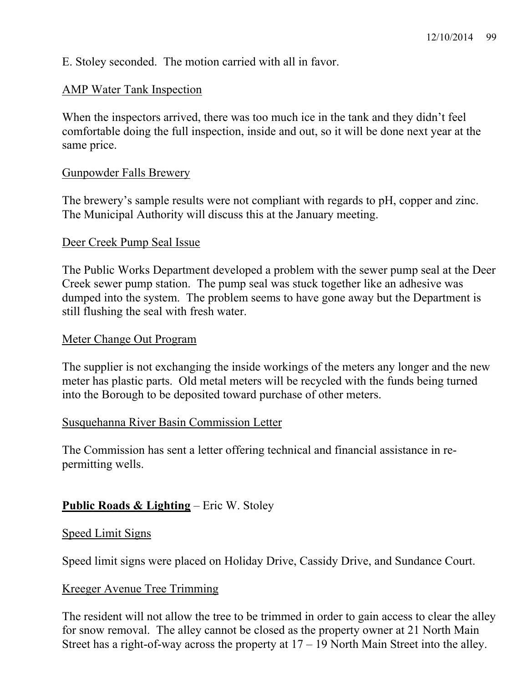E. Stoley seconded. The motion carried with all in favor.

## AMP Water Tank Inspection

When the inspectors arrived, there was too much ice in the tank and they didn't feel comfortable doing the full inspection, inside and out, so it will be done next year at the same price.

## Gunpowder Falls Brewery

The brewery's sample results were not compliant with regards to pH, copper and zinc. The Municipal Authority will discuss this at the January meeting.

## Deer Creek Pump Seal Issue

The Public Works Department developed a problem with the sewer pump seal at the Deer Creek sewer pump station. The pump seal was stuck together like an adhesive was dumped into the system. The problem seems to have gone away but the Department is still flushing the seal with fresh water.

### Meter Change Out Program

The supplier is not exchanging the inside workings of the meters any longer and the new meter has plastic parts. Old metal meters will be recycled with the funds being turned into the Borough to be deposited toward purchase of other meters.

## Susquehanna River Basin Commission Letter

The Commission has sent a letter offering technical and financial assistance in repermitting wells.

# **Public Roads & Lighting** – Eric W. Stoley

### Speed Limit Signs

Speed limit signs were placed on Holiday Drive, Cassidy Drive, and Sundance Court.

## Kreeger Avenue Tree Trimming

The resident will not allow the tree to be trimmed in order to gain access to clear the alley for snow removal. The alley cannot be closed as the property owner at 21 North Main Street has a right-of-way across the property at  $17 - 19$  North Main Street into the alley.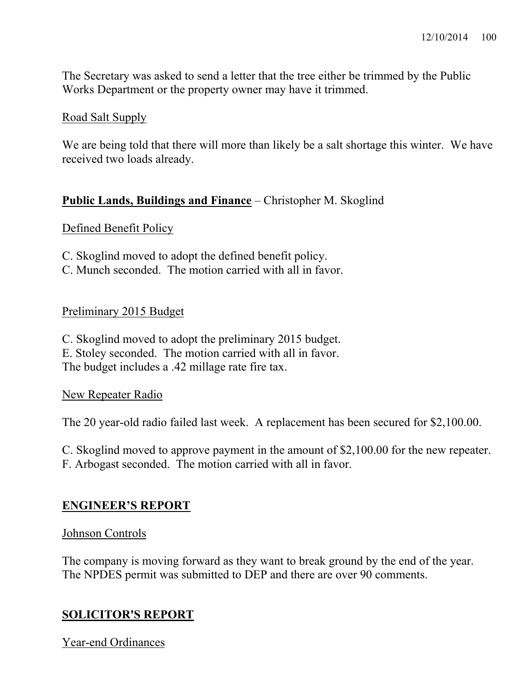The Secretary was asked to send a letter that the tree either be trimmed by the Public Works Department or the property owner may have it trimmed.

## Road Salt Supply

We are being told that there will more than likely be a salt shortage this winter. We have received two loads already.

## **Public Lands, Buildings and Finance** – Christopher M. Skoglind

### Defined Benefit Policy

- C. Skoglind moved to adopt the defined benefit policy.
- C. Munch seconded. The motion carried with all in favor.

## Preliminary 2015 Budget

C. Skoglind moved to adopt the preliminary 2015 budget. E. Stoley seconded. The motion carried with all in favor. The budget includes a .42 millage rate fire tax.

## New Repeater Radio

The 20 year-old radio failed last week. A replacement has been secured for \$2,100.00.

C. Skoglind moved to approve payment in the amount of \$2,100.00 for the new repeater. F. Arbogast seconded. The motion carried with all in favor.

## **ENGINEER'S REPORT**

### Johnson Controls

The company is moving forward as they want to break ground by the end of the year. The NPDES permit was submitted to DEP and there are over 90 comments.

## **SOLICITOR'S REPORT**

Year-end Ordinances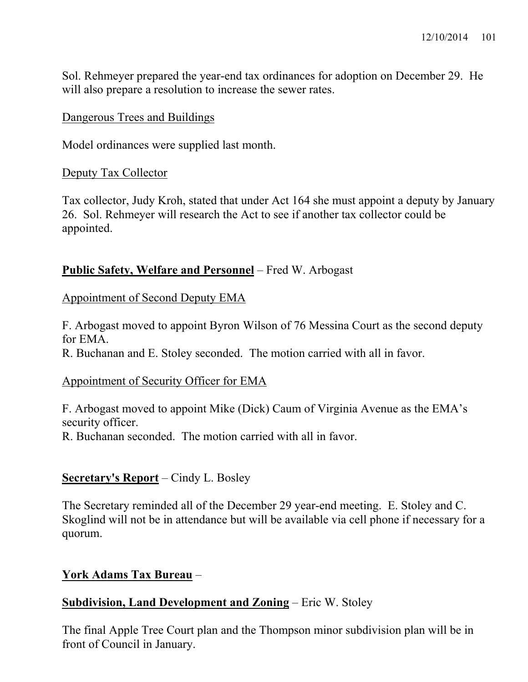Sol. Rehmeyer prepared the year-end tax ordinances for adoption on December 29. He will also prepare a resolution to increase the sewer rates.

### Dangerous Trees and Buildings

Model ordinances were supplied last month.

### Deputy Tax Collector

Tax collector, Judy Kroh, stated that under Act 164 she must appoint a deputy by January 26. Sol. Rehmeyer will research the Act to see if another tax collector could be appointed.

## **Public Safety, Welfare and Personnel** – Fred W. Arbogast

## Appointment of Second Deputy EMA

F. Arbogast moved to appoint Byron Wilson of 76 Messina Court as the second deputy for EMA.

R. Buchanan and E. Stoley seconded. The motion carried with all in favor.

## Appointment of Security Officer for EMA

F. Arbogast moved to appoint Mike (Dick) Caum of Virginia Avenue as the EMA's security officer.

R. Buchanan seconded. The motion carried with all in favor.

## **Secretary's Report** – Cindy L. Bosley

The Secretary reminded all of the December 29 year-end meeting. E. Stoley and C. Skoglind will not be in attendance but will be available via cell phone if necessary for a quorum.

## **York Adams Tax Bureau** –

## **Subdivision, Land Development and Zoning** – Eric W. Stoley

The final Apple Tree Court plan and the Thompson minor subdivision plan will be in front of Council in January.